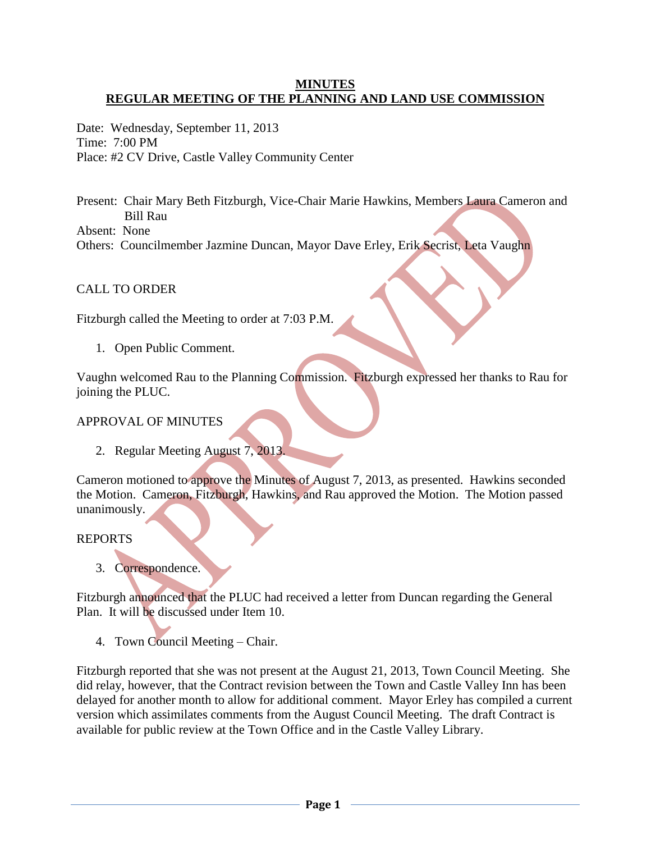### **MINUTES REGULAR MEETING OF THE PLANNING AND LAND USE COMMISSION**

Date: Wednesday, September 11, 2013 Time: 7:00 PM Place: #2 CV Drive, Castle Valley Community Center

Present: Chair Mary Beth Fitzburgh, Vice-Chair Marie Hawkins, Members Laura Cameron and Bill Rau Absent: None

Others: Councilmember Jazmine Duncan, Mayor Dave Erley, Erik Secrist, Leta Vaughn

## CALL TO ORDER

Fitzburgh called the Meeting to order at 7:03 P.M.

1. Open Public Comment.

Vaughn welcomed Rau to the Planning Commission. Fitzburgh expressed her thanks to Rau for joining the PLUC.

### APPROVAL OF MINUTES

2. Regular Meeting August 7, 2013.

Cameron motioned to approve the Minutes of August 7, 2013, as presented. Hawkins seconded the Motion. Cameron, Fitzburgh, Hawkins, and Rau approved the Motion. The Motion passed unanimously.

#### REPORTS

3. Correspondence.

Fitzburgh announced that the PLUC had received a letter from Duncan regarding the General Plan. It will be discussed under Item 10.

4. Town Council Meeting – Chair.

Fitzburgh reported that she was not present at the August 21, 2013, Town Council Meeting. She did relay, however, that the Contract revision between the Town and Castle Valley Inn has been delayed for another month to allow for additional comment. Mayor Erley has compiled a current version which assimilates comments from the August Council Meeting. The draft Contract is available for public review at the Town Office and in the Castle Valley Library.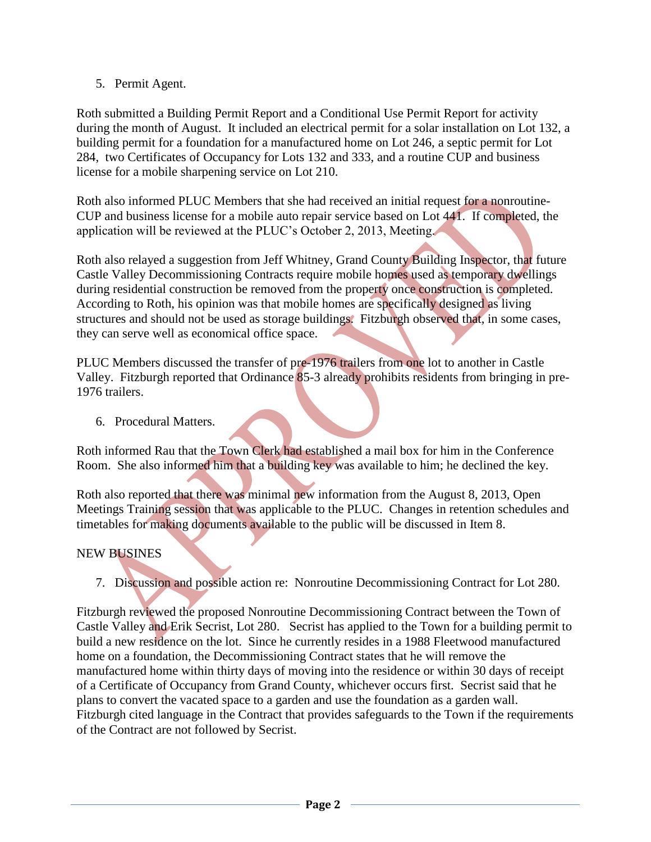5. Permit Agent.

Roth submitted a Building Permit Report and a Conditional Use Permit Report for activity during the month of August. It included an electrical permit for a solar installation on Lot 132, a building permit for a foundation for a manufactured home on Lot 246, a septic permit for Lot 284, two Certificates of Occupancy for Lots 132 and 333, and a routine CUP and business license for a mobile sharpening service on Lot 210.

Roth also informed PLUC Members that she had received an initial request for a nonroutine-CUP and business license for a mobile auto repair service based on Lot 441. If completed, the application will be reviewed at the PLUC's October 2, 2013, Meeting.

Roth also relayed a suggestion from Jeff Whitney, Grand County Building Inspector, that future Castle Valley Decommissioning Contracts require mobile homes used as temporary dwellings during residential construction be removed from the property once construction is completed. According to Roth, his opinion was that mobile homes are specifically designed as living structures and should not be used as storage buildings. Fitzburgh observed that, in some cases, they can serve well as economical office space.

PLUC Members discussed the transfer of pre-1976 trailers from one lot to another in Castle Valley. Fitzburgh reported that Ordinance 85-3 already prohibits residents from bringing in pre-1976 trailers.

6. Procedural Matters.

Roth informed Rau that the Town Clerk had established a mail box for him in the Conference Room. She also informed him that a building key was available to him; he declined the key.

Roth also reported that there was minimal new information from the August 8, 2013, Open Meetings Training session that was applicable to the PLUC. Changes in retention schedules and timetables for making documents available to the public will be discussed in Item 8.

# NEW BUSINES

7. Discussion and possible action re: Nonroutine Decommissioning Contract for Lot 280.

Fitzburgh reviewed the proposed Nonroutine Decommissioning Contract between the Town of Castle Valley and Erik Secrist, Lot 280. Secrist has applied to the Town for a building permit to build a new residence on the lot. Since he currently resides in a 1988 Fleetwood manufactured home on a foundation, the Decommissioning Contract states that he will remove the manufactured home within thirty days of moving into the residence or within 30 days of receipt of a Certificate of Occupancy from Grand County, whichever occurs first. Secrist said that he plans to convert the vacated space to a garden and use the foundation as a garden wall. Fitzburgh cited language in the Contract that provides safeguards to the Town if the requirements of the Contract are not followed by Secrist.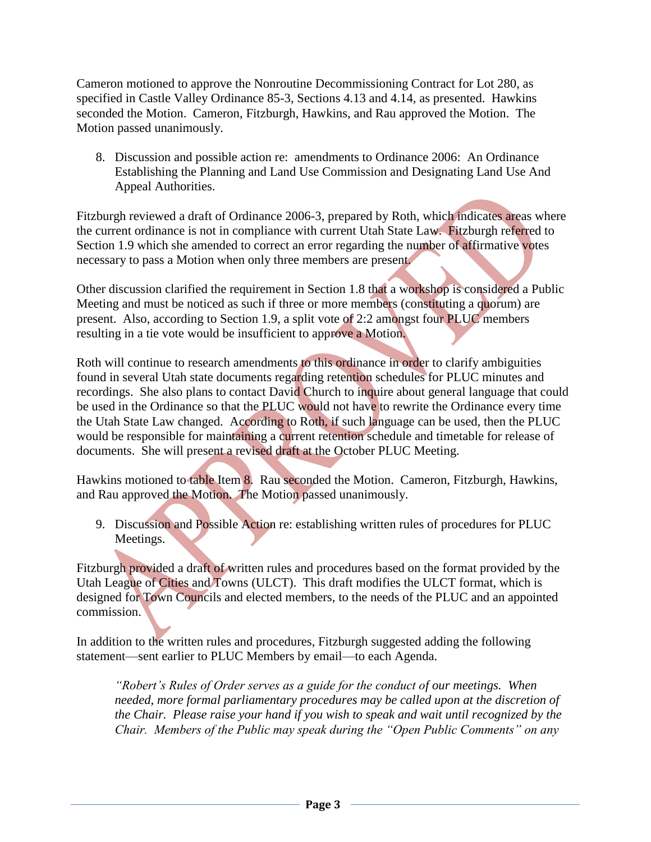Cameron motioned to approve the Nonroutine Decommissioning Contract for Lot 280, as specified in Castle Valley Ordinance 85-3, Sections 4.13 and 4.14, as presented. Hawkins seconded the Motion. Cameron, Fitzburgh, Hawkins, and Rau approved the Motion. The Motion passed unanimously.

 8. Discussion and possible action re: amendments to Ordinance 2006: An Ordinance Establishing the Planning and Land Use Commission and Designating Land Use And Appeal Authorities.

Fitzburgh reviewed a draft of Ordinance 2006-3, prepared by Roth, which indicates areas where the current ordinance is not in compliance with current Utah State Law. Fitzburgh referred to Section 1.9 which she amended to correct an error regarding the number of affirmative votes necessary to pass a Motion when only three members are present.

Other discussion clarified the requirement in Section 1.8 that a workshop is considered a Public Meeting and must be noticed as such if three or more members (constituting a quorum) are present. Also, according to Section 1.9, a split vote of 2:2 amongst four PLUC members resulting in a tie vote would be insufficient to approve a Motion.

Roth will continue to research amendments to this ordinance in order to clarify ambiguities found in several Utah state documents regarding retention schedules for PLUC minutes and recordings. She also plans to contact David Church to inquire about general language that could be used in the Ordinance so that the PLUC would not have to rewrite the Ordinance every time the Utah State Law changed. According to Roth, if such language can be used, then the PLUC would be responsible for maintaining a current retention schedule and timetable for release of documents. She will present a revised draft at the October PLUC Meeting.

Hawkins motioned to table Item 8. Rau seconded the Motion. Cameron, Fitzburgh, Hawkins, and Rau approved the Motion. The Motion passed unanimously.

9. Discussion and Possible Action re: establishing written rules of procedures for PLUC Meetings.

Fitzburgh provided a draft of written rules and procedures based on the format provided by the Utah League of Cities and Towns (ULCT). This draft modifies the ULCT format, which is designed for Town Councils and elected members, to the needs of the PLUC and an appointed commission.

In addition to the written rules and procedures, Fitzburgh suggested adding the following statement—sent earlier to PLUC Members by email—to each Agenda.

*"Robert's Rules of Order serves as a guide for the conduct of our meetings. When needed, more formal parliamentary procedures may be called upon at the discretion of the Chair. Please raise your hand if you wish to speak and wait until recognized by the Chair. Members of the Public may speak during the "Open Public Comments" on any*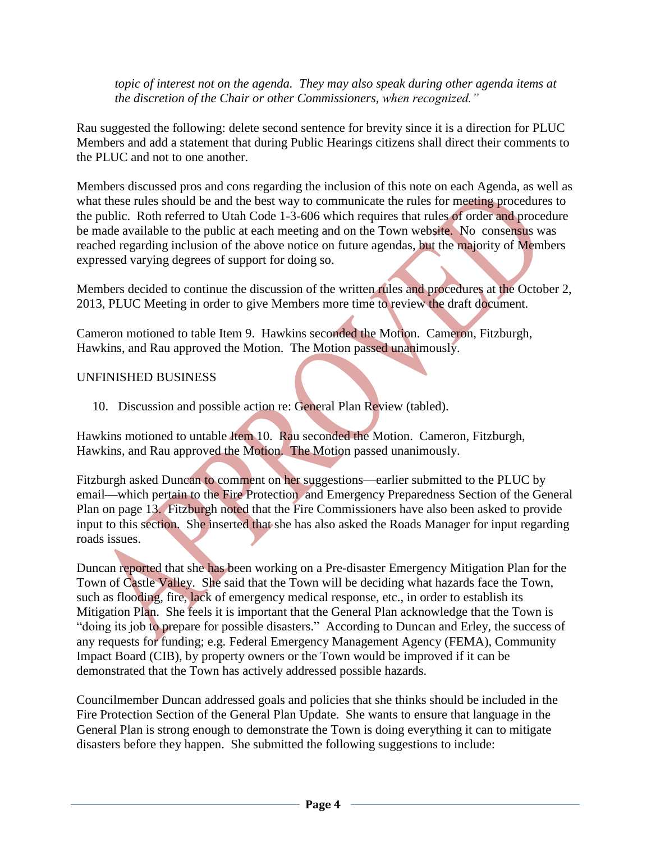*topic of interest not on the agenda. They may also speak during other agenda items at the discretion of the Chair or other Commissioners, when recognized."*

Rau suggested the following: delete second sentence for brevity since it is a direction for PLUC Members and add a statement that during Public Hearings citizens shall direct their comments to the PLUC and not to one another.

Members discussed pros and cons regarding the inclusion of this note on each Agenda, as well as what these rules should be and the best way to communicate the rules for meeting procedures to the public. Roth referred to Utah Code 1-3-606 which requires that rules of order and procedure be made available to the public at each meeting and on the Town website. No consensus was reached regarding inclusion of the above notice on future agendas, but the majority of Members expressed varying degrees of support for doing so.

Members decided to continue the discussion of the written rules and procedures at the October 2, 2013, PLUC Meeting in order to give Members more time to review the draft document.

Cameron motioned to table Item 9. Hawkins seconded the Motion. Cameron, Fitzburgh, Hawkins, and Rau approved the Motion. The Motion passed unanimously.

## UNFINISHED BUSINESS

10. Discussion and possible action re: General Plan Review (tabled).

Hawkins motioned to untable Item 10. Rau seconded the Motion. Cameron, Fitzburgh, Hawkins, and Rau approved the Motion. The Motion passed unanimously.

Fitzburgh asked Duncan to comment on her suggestions—earlier submitted to the PLUC by email—which pertain to the Fire Protection and Emergency Preparedness Section of the General Plan on page 13. Fitzburgh noted that the Fire Commissioners have also been asked to provide input to this section. She inserted that she has also asked the Roads Manager for input regarding roads issues.

Duncan reported that she has been working on a Pre-disaster Emergency Mitigation Plan for the Town of Castle Valley. She said that the Town will be deciding what hazards face the Town, such as flooding, fire, lack of emergency medical response, etc., in order to establish its Mitigation Plan. She feels it is important that the General Plan acknowledge that the Town is "doing its job to prepare for possible disasters." According to Duncan and Erley, the success of any requests for funding; e.g. Federal Emergency Management Agency (FEMA), Community Impact Board (CIB), by property owners or the Town would be improved if it can be demonstrated that the Town has actively addressed possible hazards.

Councilmember Duncan addressed goals and policies that she thinks should be included in the Fire Protection Section of the General Plan Update. She wants to ensure that language in the General Plan is strong enough to demonstrate the Town is doing everything it can to mitigate disasters before they happen. She submitted the following suggestions to include: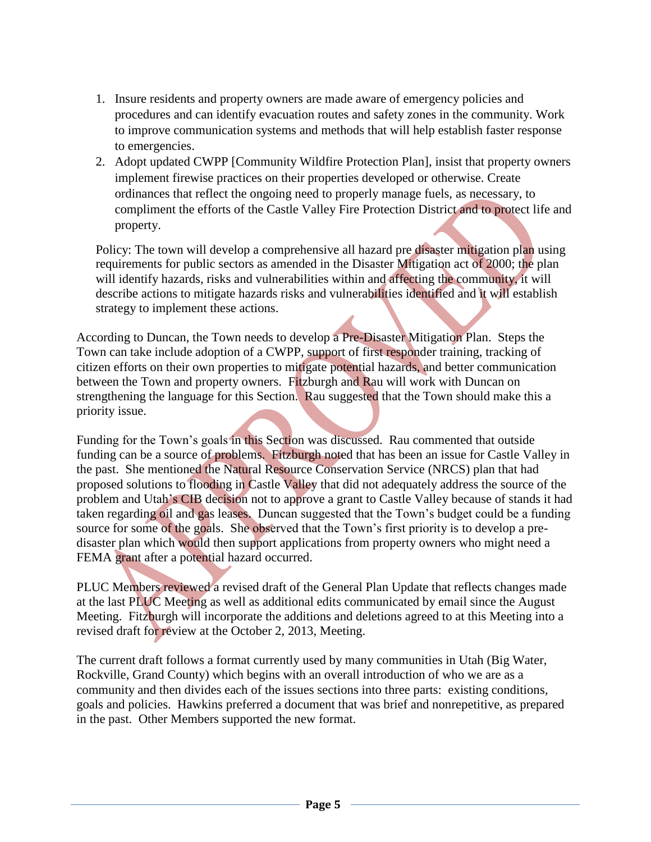- 1. Insure residents and property owners are made aware of emergency policies and procedures and can identify evacuation routes and safety zones in the community. Work to improve communication systems and methods that will help establish faster response to emergencies.
- 2. Adopt updated CWPP [Community Wildfire Protection Plan], insist that property owners implement firewise practices on their properties developed or otherwise. Create ordinances that reflect the ongoing need to properly manage fuels, as necessary, to compliment the efforts of the Castle Valley Fire Protection District and to protect life and property.

Policy: The town will develop a comprehensive all hazard pre disaster mitigation plan using requirements for public sectors as amended in the Disaster Mitigation act of 2000; the plan will identify hazards, risks and vulnerabilities within and affecting the community, it will describe actions to mitigate hazards risks and vulnerabilities identified and it will establish strategy to implement these actions.

According to Duncan, the Town needs to develop a Pre-Disaster Mitigation Plan. Steps the Town can take include adoption of a CWPP, support of first responder training, tracking of citizen efforts on their own properties to mitigate potential hazards, and better communication between the Town and property owners. Fitzburgh and Rau will work with Duncan on strengthening the language for this Section. Rau suggested that the Town should make this a priority issue.

Funding for the Town's goals in this Section was discussed. Rau commented that outside funding can be a source of problems. Fitzburgh noted that has been an issue for Castle Valley in the past. She mentioned the Natural Resource Conservation Service (NRCS) plan that had proposed solutions to flooding in Castle Valley that did not adequately address the source of the problem and Utah's CIB decision not to approve a grant to Castle Valley because of stands it had taken regarding oil and gas leases. Duncan suggested that the Town's budget could be a funding source for some of the goals. She observed that the Town's first priority is to develop a predisaster plan which would then support applications from property owners who might need a FEMA grant after a potential hazard occurred.

PLUC Members reviewed a revised draft of the General Plan Update that reflects changes made at the last PLUC Meeting as well as additional edits communicated by email since the August Meeting. Fitzburgh will incorporate the additions and deletions agreed to at this Meeting into a revised draft for review at the October 2, 2013, Meeting.

The current draft follows a format currently used by many communities in Utah (Big Water, Rockville, Grand County) which begins with an overall introduction of who we are as a community and then divides each of the issues sections into three parts: existing conditions, goals and policies. Hawkins preferred a document that was brief and nonrepetitive, as prepared in the past. Other Members supported the new format.